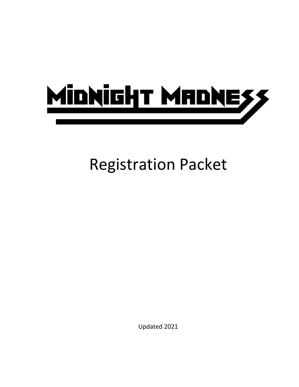

# Registration Packet

Updated 2021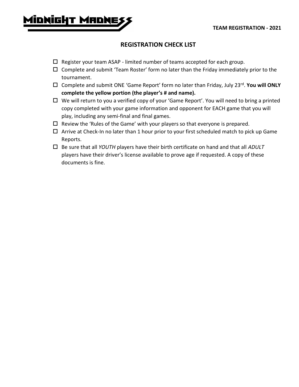

## **REGISTRATION CHECK LIST**

- $\Box$  Register your team ASAP limited number of teams accepted for each group.
- $\Box$  Complete and submit 'Team Roster' form no later than the Friday immediately prior to the tournament.
- □ Complete and submit ONE 'Game Report' form no later than Friday, July 23<sup>rd</sup>. You will ONLY **complete the yellow portion (the player's # and name).**
- $\Box$  We will return to you a verified copy of your 'Game Report'. You will need to bring a printed copy completed with your game information and opponent for EACH game that you will play, including any semi-final and final games.
- $\Box$  Review the 'Rules of the Game' with your players so that everyone is prepared.
- $\Box$  Arrive at Check-In no later than 1 hour prior to your first scheduled match to pick up Game Reports.
- Be sure that all *YOUTH* players have their birth certificate on hand and that all *ADULT* players have their driver's license available to prove age if requested. A copy of these documents is fine.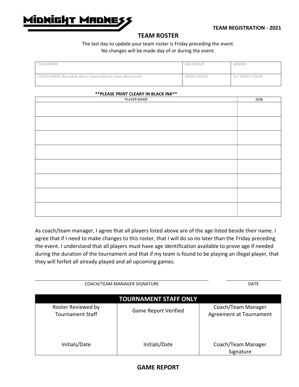

## **TEAM ROSTER**

## The last day to update your team roster is Friday preceding the event. No changes will be made day of or during the event.

| <b>TEAM NAME</b>                                             | AGE GROUP    | GENDER           |
|--------------------------------------------------------------|--------------|------------------|
| COACH NAME (Any adult who is responsible for team documents) | JERSEY COLOR | ALT JERSEY COLOR |

### **\*\*PLEASE PRINT CLEARY IN BLACK INK\*\***

| PLAYER NAME | DOB |
|-------------|-----|
|             |     |
|             |     |
|             |     |
|             |     |
|             |     |
|             |     |
|             |     |
|             |     |
|             |     |
|             |     |
|             |     |
|             |     |
|             |     |
|             |     |
|             |     |
|             |     |
|             |     |
|             |     |
|             |     |

As coach/team manager, I agree that all players listed above are of the age listed beside their name. I agree that if I need to make changes to this roster, that I will do so no later than the Friday preceding the event. I understand that all players must have age identification available to prove age if needed during the duration of the tournament and that if my team is found to be playing an illegal player, that they will forfeit all already played and all upcoming games.

| COACH/TEAM MANAGER SIGNATURE                  | <b>DATE</b>                 |                                               |  |  |  |
|-----------------------------------------------|-----------------------------|-----------------------------------------------|--|--|--|
| <b>TOURNAMENT STAFF ONLY</b>                  |                             |                                               |  |  |  |
| Roster Reviewed by<br><b>Tournament Staff</b> | <b>Game Report Verified</b> | Coach/Team Manager<br>Agreement at Tournament |  |  |  |
| Initials/Date                                 | Initials/Date               | Coach/Team Manager<br>Signature               |  |  |  |

## **GAME REPORT**